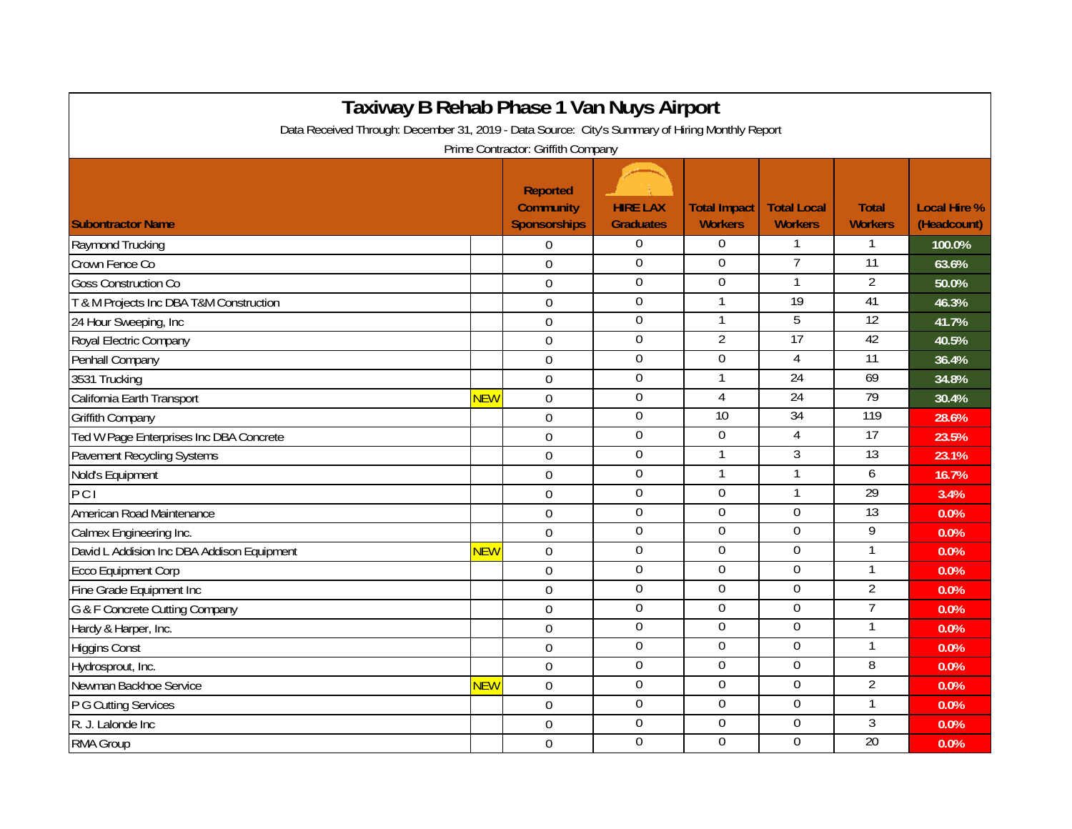| Taxiway B Rehab Phase 1 Van Nuys Airport<br>Data Received Through: December 31, 2019 - Data Source: City's Summary of Hiring Monthly Report |            |                                                            |                                     |                                       |                                      |                                |                                    |  |  |  |  |
|---------------------------------------------------------------------------------------------------------------------------------------------|------------|------------------------------------------------------------|-------------------------------------|---------------------------------------|--------------------------------------|--------------------------------|------------------------------------|--|--|--|--|
|                                                                                                                                             |            | Prime Contractor: Griffith Company                         |                                     |                                       |                                      |                                |                                    |  |  |  |  |
| <b>Subontractor Name</b>                                                                                                                    |            | <b>Reported</b><br><b>Community</b><br><b>Sponsorships</b> | <b>HIRE LAX</b><br><b>Graduates</b> | <b>Total Impact</b><br><b>Workers</b> | <b>Total Local</b><br><b>Workers</b> | <b>Total</b><br><b>Workers</b> | <b>Local Hire %</b><br>(Headcount) |  |  |  |  |
| Raymond Trucking                                                                                                                            |            | $\Omega$                                                   | $\mathbf{0}$                        | $\overline{0}$                        | 1                                    | 1                              | 100.0%                             |  |  |  |  |
| Crown Fence Co                                                                                                                              |            | $\mathbf 0$                                                | $\mathbf 0$                         | $\mathbf 0$                           | $\overline{7}$                       | $\overline{11}$                | 63.6%                              |  |  |  |  |
| <b>Goss Construction Co</b>                                                                                                                 |            | $\overline{0}$                                             | $\overline{0}$                      | $\mathbf 0$                           | $\mathbf{1}$                         | $\overline{2}$                 | 50.0%                              |  |  |  |  |
| T & M Projects Inc DBA T&M Construction                                                                                                     |            | $\overline{0}$                                             | $\boldsymbol{0}$                    |                                       | 19                                   | 41                             | 46.3%                              |  |  |  |  |
| 24 Hour Sweeping, Inc                                                                                                                       |            | $\mathbf 0$                                                | $\overline{0}$                      |                                       | 5                                    | $\overline{12}$                | 41.7%                              |  |  |  |  |
| Royal Electric Company                                                                                                                      |            | $\overline{0}$                                             | $\boldsymbol{0}$                    | $\overline{2}$                        | $\overline{17}$                      | 42                             | 40.5%                              |  |  |  |  |
| Penhall Company                                                                                                                             |            | $\overline{0}$                                             | $\mathbf 0$                         | $\mathbf 0$                           | 4                                    | $\overline{11}$                | 36.4%                              |  |  |  |  |
| 3531 Trucking                                                                                                                               |            | $\mathbf 0$                                                | $\overline{0}$                      |                                       | 24                                   | 69                             | 34.8%                              |  |  |  |  |
| California Earth Transport                                                                                                                  | <b>NEW</b> | $\mathbf 0$                                                | $\boldsymbol{0}$                    | $\overline{4}$                        | $\overline{24}$                      | 79                             | 30.4%                              |  |  |  |  |
| <b>Griffith Company</b>                                                                                                                     |            | $\mathbf 0$                                                | $\boldsymbol{0}$                    | $\overline{10}$                       | $\overline{34}$                      | 119                            | 28.6%                              |  |  |  |  |
| Ted W Page Enterprises Inc DBA Concrete                                                                                                     |            | $\overline{0}$                                             | $\mathbf 0$                         | $\mathbf 0$                           | 4                                    | 17                             | 23.5%                              |  |  |  |  |
| Pavement Recycling Systems                                                                                                                  |            | $\overline{0}$                                             | $\overline{0}$                      |                                       | 3                                    | 13                             | 23.1%                              |  |  |  |  |
| Nold's Equipment                                                                                                                            |            | $\overline{0}$                                             | $\mathbf 0$                         |                                       | 1                                    | 6                              | 16.7%                              |  |  |  |  |
| PCI                                                                                                                                         |            | $\mathbf 0$                                                | $\boldsymbol{0}$                    | $\mathbf 0$                           | 1                                    | $\overline{29}$                | 3.4%                               |  |  |  |  |
| American Road Maintenance                                                                                                                   |            | $\boldsymbol{0}$                                           | $\mathbf 0$                         | $\overline{0}$                        | $\mathbf 0$                          | $\overline{13}$                | 0.0%                               |  |  |  |  |
| Calmex Engineering Inc.                                                                                                                     |            | $\mathbf 0$                                                | $\overline{0}$                      | $\boldsymbol{0}$                      | $\mathbf 0$                          | 9                              | 0.0%                               |  |  |  |  |
| David L Addision Inc DBA Addison Equipment                                                                                                  | <b>NEW</b> | $\overline{0}$                                             | $\overline{0}$                      | $\overline{0}$                        | 0                                    | 1                              | 0.0%                               |  |  |  |  |
| <b>Ecco Equipment Corp</b>                                                                                                                  |            | $\overline{0}$                                             | $\mathbf 0$                         | $\overline{0}$                        | 0                                    | $\mathbf{1}$                   | 0.0%                               |  |  |  |  |
| Fine Grade Equipment Inc                                                                                                                    |            | $\mathbf 0$                                                | $\boldsymbol{0}$                    | $\mathbf 0$                           | $\mathbf 0$                          | $\overline{2}$                 | 0.0%                               |  |  |  |  |
| G & F Concrete Cutting Company                                                                                                              |            | $\overline{0}$                                             | $\overline{0}$                      | $\overline{0}$                        | $\overline{0}$                       | $\overline{7}$                 | 0.0%                               |  |  |  |  |
| Hardy & Harper, Inc.                                                                                                                        |            | $\boldsymbol{0}$                                           | $\overline{0}$                      | $\overline{0}$                        | $\overline{0}$                       | 1                              | 0.0%                               |  |  |  |  |
| <b>Higgins Const</b>                                                                                                                        |            | $\mathbf 0$                                                | $\mathbf 0$                         | $\mathbf 0$                           | $\mathbf 0$                          | 1                              | 0.0%                               |  |  |  |  |
| Hydrosprout, Inc.                                                                                                                           |            | $\overline{0}$                                             | $\mathbf 0$                         | $\overline{0}$                        | 0                                    | $\overline{8}$                 | 0.0%                               |  |  |  |  |
| Newman Backhoe Service                                                                                                                      | <b>NEW</b> | $\Omega$                                                   | $\overline{0}$                      | $\overline{0}$                        | 0                                    | $\overline{2}$                 | 0.0%                               |  |  |  |  |
| P G Cutting Services                                                                                                                        |            | $\overline{0}$                                             | $\overline{0}$                      | $\boldsymbol{0}$                      | $\overline{0}$                       |                                | 0.0%                               |  |  |  |  |
| R. J. Lalonde Inc.                                                                                                                          |            | $\Omega$                                                   | $\boldsymbol{0}$                    | $\mathbf 0$                           | 0                                    | 3                              | 0.0%                               |  |  |  |  |
| RMA Group                                                                                                                                   |            | $\Omega$                                                   | $\mathbf 0$                         | $\overline{0}$                        | $\overline{0}$                       | $\overline{20}$                | 0.0%                               |  |  |  |  |